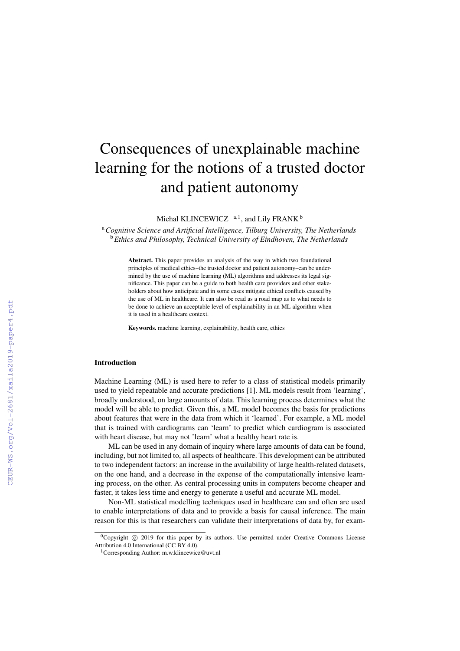# Consequences of unexplainable machine learning for the notions of a trusted doctor and patient autonomy

Michal KLINCEWICZ  $a,1$ , and Lily FRANK  $b$ 

<sup>a</sup>*Cognitive Science and Artificial Intelligence, Tilburg University, The Netherlands* <sup>b</sup>*Ethics and Philosophy, Technical University of Eindhoven, The Netherlands*

> Abstract. This paper provides an analysis of the way in which two foundational principles of medical ethics–the trusted doctor and patient autonomy–can be undermined by the use of machine learning (ML) algorithms and addresses its legal significance. This paper can be a guide to both health care providers and other stakeholders about how anticipate and in some cases mitigate ethical conflicts caused by the use of ML in healthcare. It can also be read as a road map as to what needs to be done to achieve an acceptable level of explainability in an ML algorithm when it is used in a healthcare context.

Keywords. machine learning, explainability, health care, ethics

## Introduction

Machine Learning (ML) is used here to refer to a class of statistical models primarily used to yield repeatable and accurate predictions [1]. ML models result from 'learning', broadly understood, on large amounts of data. This learning process determines what the model will be able to predict. Given this, a ML model becomes the basis for predictions about features that were in the data from which it 'learned'. For example, a ML model that is trained with cardiograms can 'learn' to predict which cardiogram is associated with heart disease, but may not 'learn' what a healthy heart rate is.

ML can be used in any domain of inquiry where large amounts of data can be found, including, but not limited to, all aspects of healthcare. This development can be attributed to two independent factors: an increase in the availability of large health-related datasets, on the one hand, and a decrease in the expense of the computationally intensive learning process, on the other. As central processing units in computers become cheaper and faster, it takes less time and energy to generate a useful and accurate ML model.

Non-ML statistical modelling techniques used in healthcare can and often are used to enable interpretations of data and to provide a basis for causal inference. The main reason for this is that researchers can validate their interpretations of data by, for exam-

<sup>&</sup>lt;sup>0</sup>Copyright  $\circled{c}$  2019 for this paper by its authors. Use permitted under Creative Commons License Attribution 4.0 International (CC BY 4.0).

<sup>1</sup>Corresponding Author: m.w.klincewicz@uvt.nl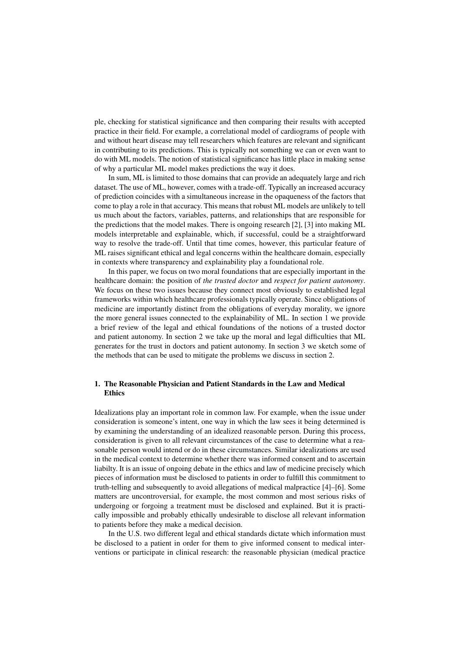ple, checking for statistical significance and then comparing their results with accepted practice in their field. For example, a correlational model of cardiograms of people with and without heart disease may tell researchers which features are relevant and significant in contributing to its predictions. This is typically not something we can or even want to do with ML models. The notion of statistical significance has little place in making sense of why a particular ML model makes predictions the way it does.

In sum, ML is limited to those domains that can provide an adequately large and rich dataset. The use of ML, however, comes with a trade-off. Typically an increased accuracy of prediction coincides with a simultaneous increase in the opaqueness of the factors that come to play a role in that accuracy. This means that robust ML models are unlikely to tell us much about the factors, variables, patterns, and relationships that are responsible for the predictions that the model makes. There is ongoing research [2], [3] into making ML models interpretable and explainable, which, if successful, could be a straightforward way to resolve the trade-off. Until that time comes, however, this particular feature of ML raises significant ethical and legal concerns within the healthcare domain, especially in contexts where transparency and explainability play a foundational role.

In this paper, we focus on two moral foundations that are especially important in the healthcare domain: the position of *the trusted doctor* and *respect for patient autonomy*. We focus on these two issues because they connect most obviously to established legal frameworks within which healthcare professionals typically operate. Since obligations of medicine are importantly distinct from the obligations of everyday morality, we ignore the more general issues connected to the explainability of ML. In section 1 we provide a brief review of the legal and ethical foundations of the notions of a trusted doctor and patient autonomy. In section 2 we take up the moral and legal difficulties that ML generates for the trust in doctors and patient autonomy. In section 3 we sketch some of the methods that can be used to mitigate the problems we discuss in section 2.

## 1. The Reasonable Physician and Patient Standards in the Law and Medical Ethics

Idealizations play an important role in common law. For example, when the issue under consideration is someone's intent, one way in which the law sees it being determined is by examining the understanding of an idealized reasonable person. During this process, consideration is given to all relevant circumstances of the case to determine what a reasonable person would intend or do in these circumstances. Similar idealizations are used in the medical context to determine whether there was informed consent and to ascertain liabilty. It is an issue of ongoing debate in the ethics and law of medicine precisely which pieces of information must be disclosed to patients in order to fulfill this commitment to truth-telling and subsequently to avoid allegations of medical malpractice [4]–[6]. Some matters are uncontroversial, for example, the most common and most serious risks of undergoing or forgoing a treatment must be disclosed and explained. But it is practically impossible and probably ethically undesirable to disclose all relevant information to patients before they make a medical decision.

In the U.S. two different legal and ethical standards dictate which information must be disclosed to a patient in order for them to give informed consent to medical interventions or participate in clinical research: the reasonable physician (medical practice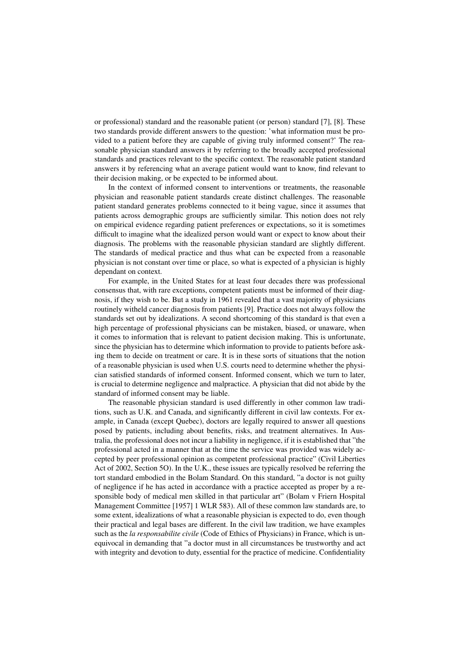or professional) standard and the reasonable patient (or person) standard [7], [8]. These two standards provide different answers to the question: 'what information must be provided to a patient before they are capable of giving truly informed consent?' The reasonable physician standard answers it by referring to the broadly accepted professional standards and practices relevant to the specific context. The reasonable patient standard answers it by referencing what an average patient would want to know, find relevant to their decision making, or be expected to be informed about.

In the context of informed consent to interventions or treatments, the reasonable physician and reasonable patient standards create distinct challenges. The reasonable patient standard generates problems connected to it being vague, since it assumes that patients across demographic groups are sufficiently similar. This notion does not rely on empirical evidence regarding patient preferences or expectations, so it is sometimes difficult to imagine what the idealized person would want or expect to know about their diagnosis. The problems with the reasonable physician standard are slightly different. The standards of medical practice and thus what can be expected from a reasonable physician is not constant over time or place, so what is expected of a physician is highly dependant on context.

For example, in the United States for at least four decades there was professional consensus that, with rare exceptions, competent patients must be informed of their diagnosis, if they wish to be. But a study in 1961 revealed that a vast majority of physicians routinely witheld cancer diagnosis from patients [9]. Practice does not always follow the standards set out by idealizations. A second shortcoming of this standard is that even a high percentage of professional physicians can be mistaken, biased, or unaware, when it comes to information that is relevant to patient decision making. This is unfortunate, since the physician has to determine which information to provide to patients before asking them to decide on treatment or care. It is in these sorts of situations that the notion of a reasonable physician is used when U.S. courts need to determine whether the physician satisfied standards of informed consent. Informed consent, which we turn to later, is crucial to determine negligence and malpractice. A physician that did not abide by the standard of informed consent may be liable.

The reasonable physician standard is used differently in other common law traditions, such as U.K. and Canada, and significantly different in civil law contexts. For example, in Canada (except Quebec), doctors are legally required to answer all questions posed by patients, including about benefits, risks, and treatment alternatives. In Australia, the professional does not incur a liability in negligence, if it is established that "the professional acted in a manner that at the time the service was provided was widely accepted by peer professional opinion as competent professional practice" (Civil Liberties Act of 2002, Section 5O). In the U.K., these issues are typically resolved be referring the tort standard embodied in the Bolam Standard. On this standard, "a doctor is not guilty of negligence if he has acted in accordance with a practice accepted as proper by a responsible body of medical men skilled in that particular art" (Bolam v Friern Hospital Management Committee [1957] 1 WLR 583). All of these common law standards are, to some extent, idealizations of what a reasonable physician is expected to do, even though their practical and legal bases are different. In the civil law tradition, we have examples such as the *la responsabilite civile* (Code of Ethics of Physicians) in France, which is unequivocal in demanding that "a doctor must in all circumstances be trustworthy and act with integrity and devotion to duty, essential for the practice of medicine. Confidentiality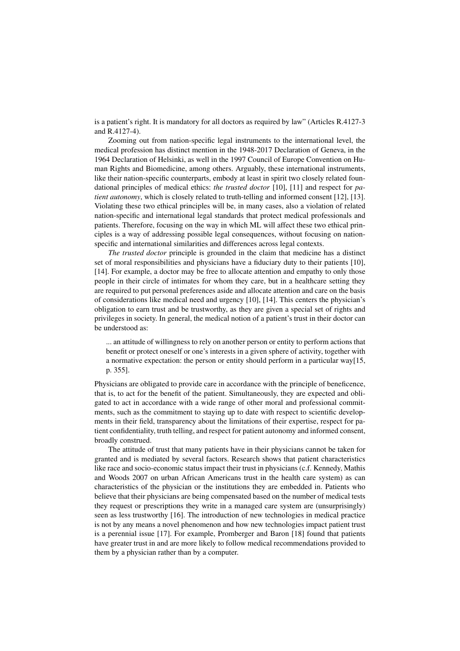is a patient's right. It is mandatory for all doctors as required by law" (Articles R.4127-3 and R.4127-4).

Zooming out from nation-specific legal instruments to the international level, the medical profession has distinct mention in the 1948-2017 Declaration of Geneva, in the 1964 Declaration of Helsinki, as well in the 1997 Council of Europe Convention on Human Rights and Biomedicine, among others. Arguably, these international instruments, like their nation-specific counterparts, embody at least in spirit two closely related foundational principles of medical ethics: *the trusted doctor* [10], [11] and respect for *patient autonomy*, which is closely related to truth-telling and informed consent [12], [13]. Violating these two ethical principles will be, in many cases, also a violation of related nation-specific and international legal standards that protect medical professionals and patients. Therefore, focusing on the way in which ML will affect these two ethical principles is a way of addressing possible legal consequences, without focusing on nationspecific and international similarities and differences across legal contexts.

*The trusted doctor* principle is grounded in the claim that medicine has a distinct set of moral responsibilities and physicians have a fiduciary duty to their patients [10], [14]. For example, a doctor may be free to allocate attention and empathy to only those people in their circle of intimates for whom they care, but in a healthcare setting they are required to put personal preferences aside and allocate attention and care on the basis of considerations like medical need and urgency [10], [14]. This centers the physician's obligation to earn trust and be trustworthy, as they are given a special set of rights and privileges in society. In general, the medical notion of a patient's trust in their doctor can be understood as:

... an attitude of willingness to rely on another person or entity to perform actions that benefit or protect oneself or one's interests in a given sphere of activity, together with a normative expectation: the person or entity should perform in a particular way[15, p. 355].

Physicians are obligated to provide care in accordance with the principle of beneficence, that is, to act for the benefit of the patient. Simultaneously, they are expected and obligated to act in accordance with a wide range of other moral and professional commitments, such as the commitment to staying up to date with respect to scientific developments in their field, transparency about the limitations of their expertise, respect for patient confidentiality, truth telling, and respect for patient autonomy and informed consent, broadly construed.

The attitude of trust that many patients have in their physicians cannot be taken for granted and is mediated by several factors. Research shows that patient characteristics like race and socio-economic status impact their trust in physicians (c.f. Kennedy, Mathis and Woods 2007 on urban African Americans trust in the health care system) as can characteristics of the physician or the institutions they are embedded in. Patients who believe that their physicians are being compensated based on the number of medical tests they request or prescriptions they write in a managed care system are (unsurprisingly) seen as less trustworthy [16]. The introduction of new technologies in medical practice is not by any means a novel phenomenon and how new technologies impact patient trust is a perennial issue [17]. For example, Promberger and Baron [18] found that patients have greater trust in and are more likely to follow medical recommendations provided to them by a physician rather than by a computer.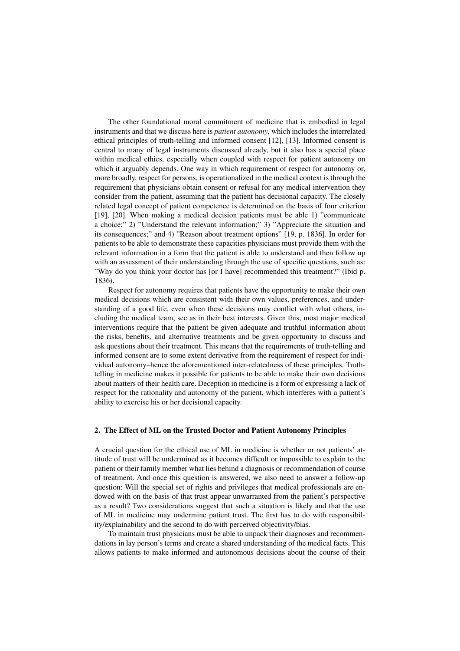The other foundational moral commitment of medicine that is embodied in legal instruments and that we discuss here is *patient autonomy*, which includes the interrelated ethical principles of truth-telling and informed consent [12], [13]. Informed consent is central to many of legal instruments discussed already, but it also has a special place within medical ethics, especially when coupled with respect for patient autonomy on which it arguably depends. One way in which requirement of respect for autonomy or, more broadly, respect for persons, is operationalized in the medical context is through the requirement that physicians obtain consent or refusal for any medical intervention they consider from the patient, assuming that the patient has decisional capacity. The closely related legal concept of patient competence is determined on the basis of four criterion [19], [20]. When making a medical decision patients must be able 1) "communicate a choice;" 2) "Understand the relevant information;" 3) "Appreciate the situation and its consequences;" and 4) "Reason about treatment options" [19, p. 1836]. In order for patients to be able to demonstrate these capacities physicians must provide them with the relevant information in a form that the patient is able to understand and then follow up with an assessment of their understanding through the use of specific questions, such as: "Why do you think your doctor has [or I have] recommended this treatment?" (Ibid p. 1836).

Respect for autonomy requires that patients have the opportunity to make their own medical decisions which are consistent with their own values, preferences, and understanding of a good life, even when these decisions may conflict with what others, including the medical team, see as in their best interests. Given this, most major medical interventions require that the patient be given adequate and truthful information about the risks, benefits, and alternative treatments and be given opportunity to discuss and ask questions about their treatment. This means that the requirements of truth-telling and informed consent are to some extent derivative from the requirement of respect for individual autonomy–hence the aforementioned inter-relatedness of these principles. Truthtelling in medicine makes it possible for patients to be able to make their own decisions about matters of their health care. Deception in medicine is a form of expressing a lack of respect for the rationality and autonomy of the patient, which interferes with a patient's ability to exercise his or her decisional capacity.

### 2. The Effect of ML on the Trusted Doctor and Patient Autonomy Principles

A crucial question for the ethical use of ML in medicine is whether or not patients' attitude of trust will be undermined as it becomes difficult or impossible to explain to the patient or their family member what lies behind a diagnosis or recommendation of course of treatment. And once this question is answered, we also need to answer a follow-up question: Will the special set of rights and privileges that medical professionals are endowed with on the basis of that trust appear unwarranted from the patient's perspective as a result? Two considerations suggest that such a situation is likely and that the use of ML in medicine may undermine patient trust. The first has to do with responsibility/explainability and the second to do with perceived objectivity/bias.

To maintain trust physicians must be able to unpack their diagnoses and recommendations in lay person's terms and create a shared understanding of the medical facts. This allows patients to make informed and autonomous decisions about the course of their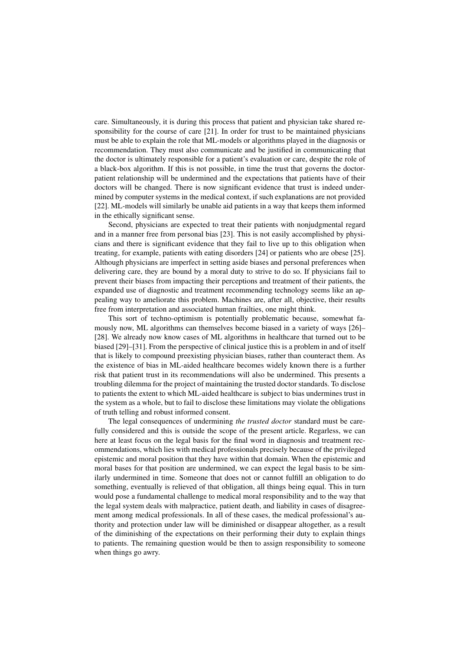care. Simultaneously, it is during this process that patient and physician take shared responsibility for the course of care [21]. In order for trust to be maintained physicians must be able to explain the role that ML-models or algorithms played in the diagnosis or recommendation. They must also communicate and be justified in communicating that the doctor is ultimately responsible for a patient's evaluation or care, despite the role of a black-box algorithm. If this is not possible, in time the trust that governs the doctorpatient relationship will be undermined and the expectations that patients have of their doctors will be changed. There is now significant evidence that trust is indeed undermined by computer systems in the medical context, if such explanations are not provided [22]. ML-models will similarly be unable aid patients in a way that keeps them informed in the ethically significant sense.

Second, physicians are expected to treat their patients with nonjudgmental regard and in a manner free from personal bias [23]. This is not easily accomplished by physicians and there is significant evidence that they fail to live up to this obligation when treating, for example, patients with eating disorders [24] or patients who are obese [25]. Although physicians are imperfect in setting aside biases and personal preferences when delivering care, they are bound by a moral duty to strive to do so. If physicians fail to prevent their biases from impacting their perceptions and treatment of their patients, the expanded use of diagnostic and treatment recommending technology seems like an appealing way to ameliorate this problem. Machines are, after all, objective, their results free from interpretation and associated human frailties, one might think.

This sort of techno-optimism is potentially problematic because, somewhat famously now, ML algorithms can themselves become biased in a variety of ways [26]– [28]. We already now know cases of ML algorithms in healthcare that turned out to be biased [29]–[31]. From the perspective of clinical justice this is a problem in and of itself that is likely to compound preexisting physician biases, rather than counteract them. As the existence of bias in ML-aided healthcare becomes widely known there is a further risk that patient trust in its recommendations will also be undermined. This presents a troubling dilemma for the project of maintaining the trusted doctor standards. To disclose to patients the extent to which ML-aided healthcare is subject to bias undermines trust in the system as a whole, but to fail to disclose these limitations may violate the obligations of truth telling and robust informed consent.

The legal consequences of undermining *the trusted doctor* standard must be carefully considered and this is outside the scope of the present article. Regarless, we can here at least focus on the legal basis for the final word in diagnosis and treatment recommendations, which lies with medical professionals precisely because of the privileged epistemic and moral position that they have within that domain. When the epistemic and moral bases for that position are undermined, we can expect the legal basis to be similarly undermined in time. Someone that does not or cannot fulfill an obligation to do something, eventually is relieved of that obligation, all things being equal. This in turn would pose a fundamental challenge to medical moral responsibility and to the way that the legal system deals with malpractice, patient death, and liability in cases of disagreement among medical professionals. In all of these cases, the medical professional's authority and protection under law will be diminished or disappear altogether, as a result of the diminishing of the expectations on their performing their duty to explain things to patients. The remaining question would be then to assign responsibility to someone when things go awry.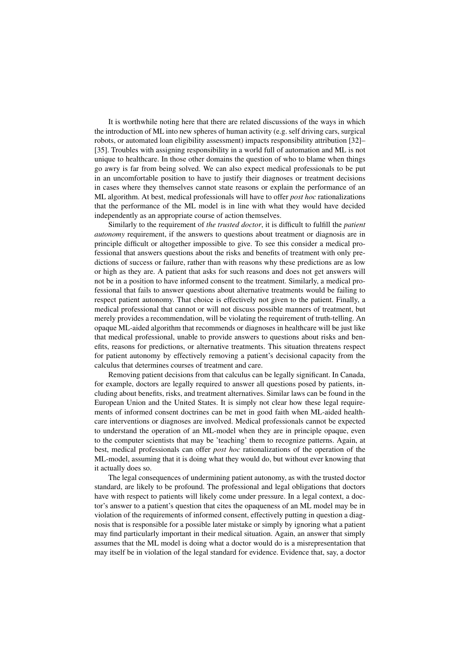It is worthwhile noting here that there are related discussions of the ways in which the introduction of ML into new spheres of human activity (e.g. self driving cars, surgical robots, or automated loan eligibility assessment) impacts responsibility attribution [32]– [35]. Troubles with assigning responsibility in a world full of automation and ML is not unique to healthcare. In those other domains the question of who to blame when things go awry is far from being solved. We can also expect medical professionals to be put in an uncomfortable position to have to justify their diagnoses or treatment decisions in cases where they themselves cannot state reasons or explain the performance of an ML algorithm. At best, medical professionals will have to offer *post hoc* rationalizations that the performance of the ML model is in line with what they would have decided independently as an appropriate course of action themselves.

Similarly to the requirement of *the trusted doctor*, it is difficult to fulfill the *patient autonomy* requirement, if the answers to questions about treatment or diagnosis are in principle difficult or altogether impossible to give. To see this consider a medical professional that answers questions about the risks and benefits of treatment with only predictions of success or failure, rather than with reasons why these predictions are as low or high as they are. A patient that asks for such reasons and does not get answers will not be in a position to have informed consent to the treatment. Similarly, a medical professional that fails to answer questions about alternative treatments would be failing to respect patient autonomy. That choice is effectively not given to the patient. Finally, a medical professional that cannot or will not discuss possible manners of treatment, but merely provides a recommendation, will be violating the requirement of truth-telling. An opaque ML-aided algorithm that recommends or diagnoses in healthcare will be just like that medical professional, unable to provide answers to questions about risks and benefits, reasons for predictions, or alternative treatments. This situation threatens respect for patient autonomy by effectively removing a patient's decisional capacity from the calculus that determines courses of treatment and care.

Removing patient decisions from that calculus can be legally significant. In Canada, for example, doctors are legally required to answer all questions posed by patients, including about benefits, risks, and treatment alternatives. Similar laws can be found in the European Union and the United States. It is simply not clear how these legal requirements of informed consent doctrines can be met in good faith when ML-aided healthcare interventions or diagnoses are involved. Medical professionals cannot be expected to understand the operation of an ML-model when they are in principle opaque, even to the computer scientists that may be 'teaching' them to recognize patterns. Again, at best, medical professionals can offer *post hoc* rationalizations of the operation of the ML-model, assuming that it is doing what they would do, but without ever knowing that it actually does so.

The legal consequences of undermining patient autonomy, as with the trusted doctor standard, are likely to be profound. The professional and legal obligations that doctors have with respect to patients will likely come under pressure. In a legal context, a doctor's answer to a patient's question that cites the opaqueness of an ML model may be in violation of the requirements of informed consent, effectively putting in question a diagnosis that is responsible for a possible later mistake or simply by ignoring what a patient may find particularly important in their medical situation. Again, an answer that simply assumes that the ML model is doing what a doctor would do is a misrepresentation that may itself be in violation of the legal standard for evidence. Evidence that, say, a doctor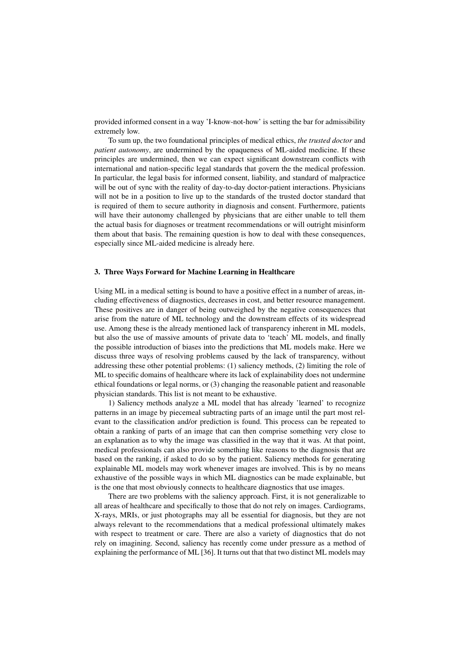provided informed consent in a way 'I-know-not-how' is setting the bar for admissibility extremely low.

To sum up, the two foundational principles of medical ethics, *the trusted doctor* and *patient autonomy*, are undermined by the opaqueness of ML-aided medicine. If these principles are undermined, then we can expect significant downstream conflicts with international and nation-specific legal standards that govern the the medical profession. In particular, the legal basis for informed consent, liability, and standard of malpractice will be out of sync with the reality of day-to-day doctor-patient interactions. Physicians will not be in a position to live up to the standards of the trusted doctor standard that is required of them to secure authority in diagnosis and consent. Furthermore, patients will have their autonomy challenged by physicians that are either unable to tell them the actual basis for diagnoses or treatment recommendations or will outright misinform them about that basis. The remaining question is how to deal with these consequences, especially since ML-aided medicine is already here.

### 3. Three Ways Forward for Machine Learning in Healthcare

Using ML in a medical setting is bound to have a positive effect in a number of areas, including effectiveness of diagnostics, decreases in cost, and better resource management. These positives are in danger of being outweighed by the negative consequences that arise from the nature of ML technology and the downstream effects of its widespread use. Among these is the already mentioned lack of transparency inherent in ML models, but also the use of massive amounts of private data to 'teach' ML models, and finally the possible introduction of biases into the predictions that ML models make. Here we discuss three ways of resolving problems caused by the lack of transparency, without addressing these other potential problems: (1) saliency methods, (2) limiting the role of ML to specific domains of healthcare where its lack of explainability does not undermine ethical foundations or legal norms, or (3) changing the reasonable patient and reasonable physician standards. This list is not meant to be exhaustive.

1) Saliency methods analyze a ML model that has already 'learned' to recognize patterns in an image by piecemeal subtracting parts of an image until the part most relevant to the classification and/or prediction is found. This process can be repeated to obtain a ranking of parts of an image that can then comprise something very close to an explanation as to why the image was classified in the way that it was. At that point, medical professionals can also provide something like reasons to the diagnosis that are based on the ranking, if asked to do so by the patient. Saliency methods for generating explainable ML models may work whenever images are involved. This is by no means exhaustive of the possible ways in which ML diagnostics can be made explainable, but is the one that most obviously connects to healthcare diagnostics that use images.

There are two problems with the saliency approach. First, it is not generalizable to all areas of healthcare and specifically to those that do not rely on images. Cardiograms, X-rays, MRIs, or just photographs may all be essential for diagnosis, but they are not always relevant to the recommendations that a medical professional ultimately makes with respect to treatment or care. There are also a variety of diagnostics that do not rely on imagining. Second, saliency has recently come under pressure as a method of explaining the performance of ML [36]. It turns out that that two distinct ML models may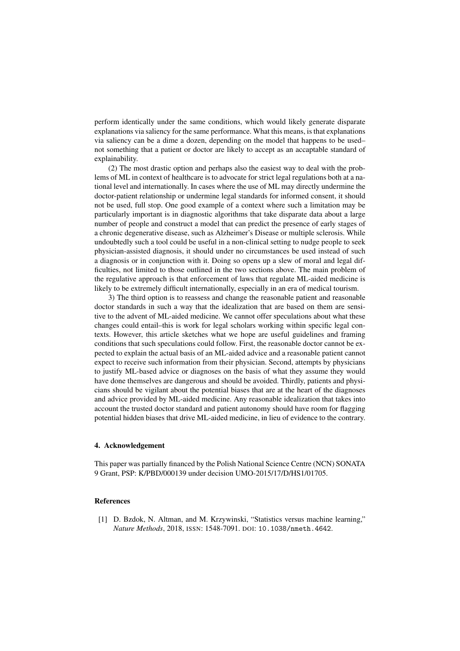perform identically under the same conditions, which would likely generate disparate explanations via saliency for the same performance. What this means, is that explanations via saliency can be a dime a dozen, depending on the model that happens to be used– not something that a patient or doctor are likely to accept as an accaptable standard of explainability.

(2) The most drastic option and perhaps also the easiest way to deal with the problems of ML in context of healthcare is to advocate for strict legal regulations both at a national level and internationally. In cases where the use of ML may directly undermine the doctor-patient relationship or undermine legal standards for informed consent, it should not be used, full stop. One good example of a context where such a limitation may be particularly important is in diagnostic algorithms that take disparate data about a large number of people and construct a model that can predict the presence of early stages of a chronic degenerative disease, such as Alzheimer's Disease or multiple sclerosis. While undoubtedly such a tool could be useful in a non-clinical setting to nudge people to seek physician-assisted diagnosis, it should under no circumstances be used instead of such a diagnosis or in conjunction with it. Doing so opens up a slew of moral and legal difficulties, not limited to those outlined in the two sections above. The main problem of the regulative approach is that enforcement of laws that regulate ML-aided medicine is likely to be extremely difficult internationally, especially in an era of medical tourism.

3) The third option is to reassess and change the reasonable patient and reasonable doctor standards in such a way that the idealization that are based on them are sensitive to the advent of ML-aided medicine. We cannot offer speculations about what these changes could entail–this is work for legal scholars working within specific legal contexts. However, this article sketches what we hope are useful guidelines and framing conditions that such speculations could follow. First, the reasonable doctor cannot be expected to explain the actual basis of an ML-aided advice and a reasonable patient cannot expect to receive such information from their physician. Second, attempts by physicians to justify ML-based advice or diagnoses on the basis of what they assume they would have done themselves are dangerous and should be avoided. Thirdly, patients and physicians should be vigilant about the potential biases that are at the heart of the diagnoses and advice provided by ML-aided medicine. Any reasonable idealization that takes into account the trusted doctor standard and patient autonomy should have room for flagging potential hidden biases that drive ML-aided medicine, in lieu of evidence to the contrary.

## 4. Acknowledgement

This paper was partially financed by the Polish National Science Centre (NCN) SONATA 9 Grant, PSP: K/PBD/000139 under decision UMO-2015/17/D/HS1/01705.

#### References

[1] D. Bzdok, N. Altman, and M. Krzywinski, "Statistics versus machine learning," *Nature Methods*, 2018, ISSN: 1548-7091. DOI: 10.1038/nmeth.4642.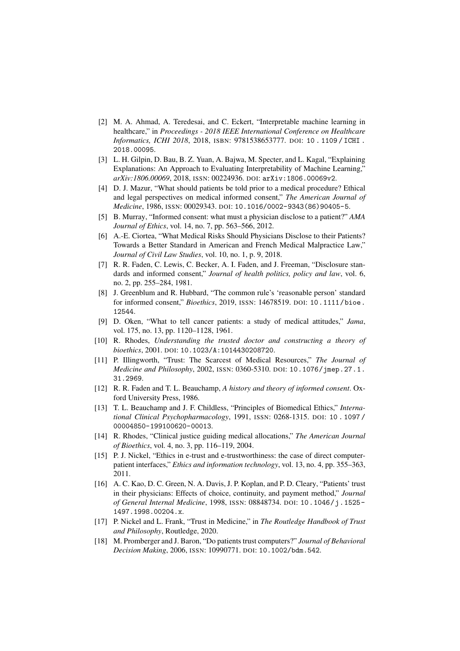- [2] M. A. Ahmad, A. Teredesai, and C. Eckert, "Interpretable machine learning in healthcare," in *Proceedings - 2018 IEEE International Conference on Healthcare Informatics, ICHI 2018*, 2018, ISBN: 9781538653777. DOI: 10 . 1109 / ICHI . 2018.00095.
- [3] L. H. Gilpin, D. Bau, B. Z. Yuan, A. Bajwa, M. Specter, and L. Kagal, "Explaining Explanations: An Approach to Evaluating Interpretability of Machine Learning," *arXiv:1806.00069*, 2018, ISSN: 00224936. DOI: arXiv:1806.00069v2.
- [4] D. J. Mazur, "What should patients be told prior to a medical procedure? Ethical and legal perspectives on medical informed consent," *The American Journal of Medicine*, 1986, ISSN: 00029343. DOI: 10.1016/0002-9343(86)90405-5.
- [5] B. Murray, "Informed consent: what must a physician disclose to a patient?" *AMA Journal of Ethics*, vol. 14, no. 7, pp. 563–566, 2012.
- [6] A.-E. Ciortea, "What Medical Risks Should Physicians Disclose to their Patients? Towards a Better Standard in American and French Medical Malpractice Law," *Journal of Civil Law Studies*, vol. 10, no. 1, p. 9, 2018.
- [7] R. R. Faden, C. Lewis, C. Becker, A. I. Faden, and J. Freeman, "Disclosure standards and informed consent," *Journal of health politics, policy and law*, vol. 6, no. 2, pp. 255–284, 1981.
- [8] J. Greenblum and R. Hubbard, "The common rule's 'reasonable person' standard for informed consent," *Bioethics*, 2019, ISSN: 14678519. DOI: 10.1111/bioe. 12544.
- [9] D. Oken, "What to tell cancer patients: a study of medical attitudes," *Jama*, vol. 175, no. 13, pp. 1120–1128, 1961.
- [10] R. Rhodes, *Understanding the trusted doctor and constructing a theory of bioethics*, 2001. DOI: 10.1023/A:1014430208720.
- [11] P. Illingworth, "Trust: The Scarcest of Medical Resources," *The Journal of Medicine and Philosophy*, 2002, ISSN: 0360-5310. DOI: 10.1076/jmep.27.1. 31.2969.
- [12] R. R. Faden and T. L. Beauchamp, *A history and theory of informed consent*. Oxford University Press, 1986.
- [13] T. L. Beauchamp and J. F. Childless, "Principles of Biomedical Ethics," *International Clinical Psychopharmacology*, 1991, ISSN: 0268-1315. DOI: 10 . 1097 / 00004850-199100620-00013.
- [14] R. Rhodes, "Clinical justice guiding medical allocations," *The American Journal of Bioethics*, vol. 4, no. 3, pp. 116–119, 2004.
- [15] P. J. Nickel, "Ethics in e-trust and e-trustworthiness: the case of direct computerpatient interfaces," *Ethics and information technology*, vol. 13, no. 4, pp. 355–363, 2011.
- [16] A. C. Kao, D. C. Green, N. A. Davis, J. P. Koplan, and P. D. Cleary, "Patients' trust in their physicians: Effects of choice, continuity, and payment method," *Journal of General Internal Medicine*, 1998, ISSN: 08848734. DOI: 10.1046/j.1525- 1497.1998.00204.x.
- [17] P. Nickel and L. Frank, "Trust in Medicine," in *The Routledge Handbook of Trust and Philosophy*, Routledge, 2020.
- [18] M. Promberger and J. Baron, "Do patients trust computers?" *Journal of Behavioral Decision Making*, 2006, ISSN: 10990771. DOI: 10.1002/bdm.542.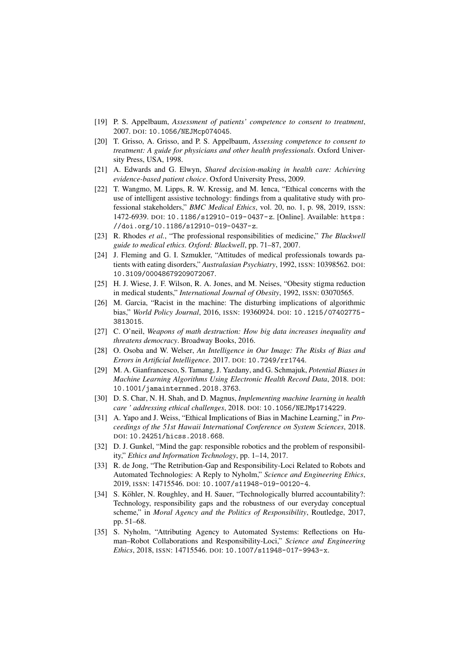- [19] P. S. Appelbaum, *Assessment of patients' competence to consent to treatment*, 2007. DOI: 10.1056/NEJMcp074045.
- [20] T. Grisso, A. Grisso, and P. S. Appelbaum, *Assessing competence to consent to treatment: A guide for physicians and other health professionals*. Oxford University Press, USA, 1998.
- [21] A. Edwards and G. Elwyn, *Shared decision-making in health care: Achieving evidence-based patient choice*. Oxford University Press, 2009.
- [22] T. Wangmo, M. Lipps, R. W. Kressig, and M. Ienca, "Ethical concerns with the use of intelligent assistive technology: findings from a qualitative study with professional stakeholders," *BMC Medical Ethics*, vol. 20, no. 1, p. 98, 2019, ISSN: 1472-6939. DOI: 10.1186/s12910-019-0437-z. [Online]. Available: https: //doi.org/10.1186/s12910-019-0437-z.
- [23] R. Rhodes *et al.*, "The professional responsibilities of medicine," *The Blackwell guide to medical ethics. Oxford: Blackwell*, pp. 71–87, 2007.
- [24] J. Fleming and G. I. Szmukler, "Attitudes of medical professionals towards patients with eating disorders," *Australasian Psychiatry*, 1992, ISSN: 10398562. DOI: 10.3109/00048679209072067.
- [25] H. J. Wiese, J. F. Wilson, R. A. Jones, and M. Neises, "Obesity stigma reduction in medical students," *International Journal of Obesity*, 1992, ISSN: 03070565.
- [26] M. Garcia, "Racist in the machine: The disturbing implications of algorithmic bias," *World Policy Journal*, 2016, ISSN: 19360924. DOI: 10.1215/07402775- 3813015.
- [27] C. O'neil, *Weapons of math destruction: How big data increases inequality and threatens democracy*. Broadway Books, 2016.
- [28] O. Osoba and W. Welser, *An Intelligence in Our Image: The Risks of Bias and Errors in Artificial Intelligence*. 2017. DOI: 10.7249/rr1744.
- [29] M. A. Gianfrancesco, S. Tamang, J. Yazdany, and G. Schmajuk, *Potential Biases in Machine Learning Algorithms Using Electronic Health Record Data*, 2018. DOI: 10.1001/jamainternmed.2018.3763.
- [30] D. S. Char, N. H. Shah, and D. Magnus, *Implementing machine learning in health care ' addressing ethical challenges*, 2018. DOI: 10.1056/NEJMp1714229.
- [31] A. Yapo and J. Weiss, "Ethical Implications of Bias in Machine Learning," in *Proceedings of the 51st Hawaii International Conference on System Sciences*, 2018. DOI: 10.24251/hicss.2018.668.
- [32] D. J. Gunkel, "Mind the gap: responsible robotics and the problem of responsibility," *Ethics and Information Technology*, pp. 1–14, 2017.
- [33] R. de Jong, "The Retribution-Gap and Responsibility-Loci Related to Robots and Automated Technologies: A Reply to Nyholm," *Science and Engineering Ethics*, 2019, ISSN: 14715546. DOI: 10.1007/s11948-019-00120-4.
- [34] S. Köhler, N. Roughley, and H. Sauer, "Technologically blurred accountability?: Technology, responsibility gaps and the robustness of our everyday conceptual scheme," in *Moral Agency and the Politics of Responsibility*, Routledge, 2017, pp. 51–68.
- [35] S. Nyholm, "Attributing Agency to Automated Systems: Reflections on Human–Robot Collaborations and Responsibility-Loci," *Science and Engineering Ethics*, 2018, ISSN: 14715546. DOI: 10.1007/s11948-017-9943-x.